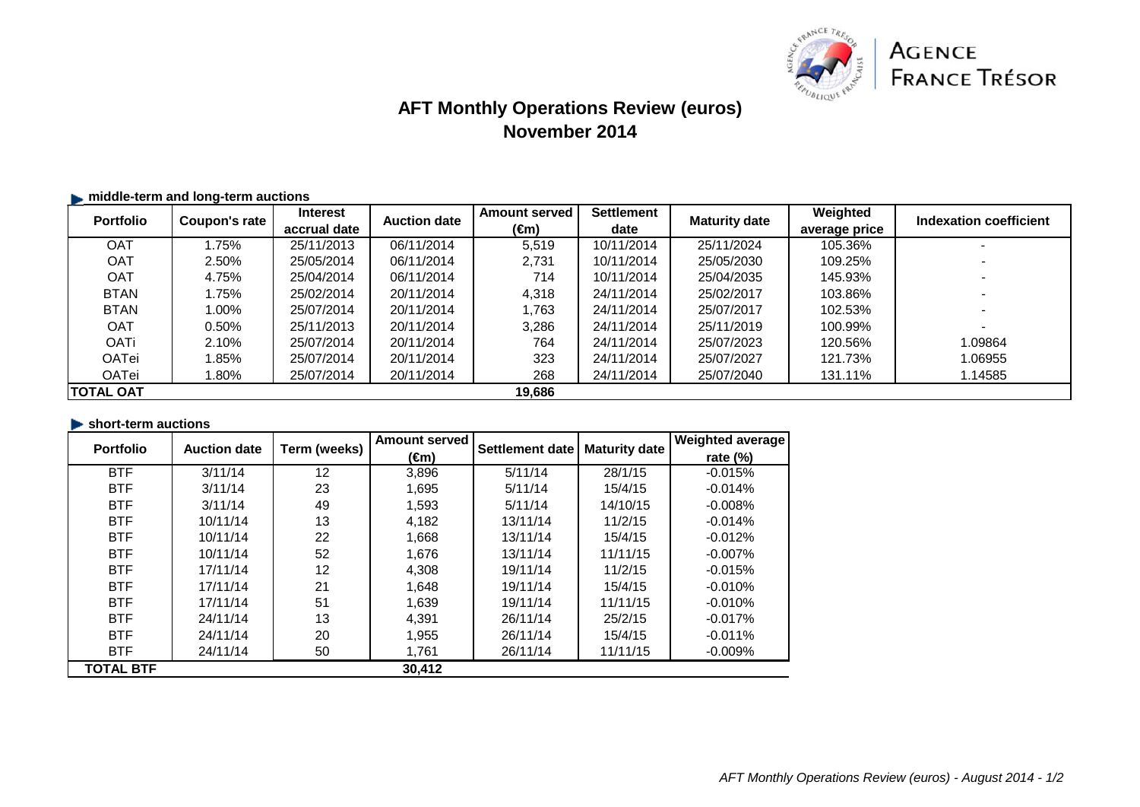

# **AFT Monthly Operations Review (euros) November 2014**

| $\blacktriangleright$ middle-term and long-term auctions |               |                                 |                     |                              |                           |                      |                           |                          |
|----------------------------------------------------------|---------------|---------------------------------|---------------------|------------------------------|---------------------------|----------------------|---------------------------|--------------------------|
| <b>Portfolio</b>                                         | Coupon's rate | <b>Interest</b><br>accrual date | <b>Auction date</b> | <b>Amount served</b><br>(€m) | <b>Settlement</b><br>date | <b>Maturity date</b> | Weighted<br>average price | Indexation coefficient   |
| <b>OAT</b>                                               | 1.75%         | 25/11/2013                      | 06/11/2014          | 5,519                        | 10/11/2014                | 25/11/2024           | 105.36%                   |                          |
| <b>OAT</b>                                               | 2.50%         | 25/05/2014                      | 06/11/2014          | 2,731                        | 10/11/2014                | 25/05/2030           | 109.25%                   |                          |
| <b>OAT</b>                                               | 4.75%         | 25/04/2014                      | 06/11/2014          | 714                          | 10/11/2014                | 25/04/2035           | 145.93%                   |                          |
| <b>BTAN</b>                                              | .75%          | 25/02/2014                      | 20/11/2014          | 4.318                        | 24/11/2014                | 25/02/2017           | 103.86%                   |                          |
| <b>BTAN</b>                                              | 1.00%         | 25/07/2014                      | 20/11/2014          | 1,763                        | 24/11/2014                | 25/07/2017           | 102.53%                   |                          |
| <b>OAT</b>                                               | 0.50%         | 25/11/2013                      | 20/11/2014          | 3,286                        | 24/11/2014                | 25/11/2019           | 100.99%                   | $\overline{\phantom{0}}$ |
| <b>OATi</b>                                              | 2.10%         | 25/07/2014                      | 20/11/2014          | 764                          | 24/11/2014                | 25/07/2023           | 120.56%                   | 1.09864                  |
| OATei                                                    | .85%          | 25/07/2014                      | 20/11/2014          | 323                          | 24/11/2014                | 25/07/2027           | 121.73%                   | 1.06955                  |
| OATei                                                    | $.80\%$       | 25/07/2014                      | 20/11/2014          | 268                          | 24/11/2014                | 25/07/2040           | 131.11%                   | 1.14585                  |
| <b>ITOTAL OAT</b>                                        |               |                                 |                     | 19.686                       |                           |                      |                           |                          |

#### **short-term auctions**

| <b>Portfolio</b> | <b>Auction date</b> | Term (weeks) | <b>Amount served</b><br>(€m) | Settlement date | <b>Maturity date</b> | <b>Weighted average</b> |
|------------------|---------------------|--------------|------------------------------|-----------------|----------------------|-------------------------|
|                  |                     |              |                              |                 |                      | rate $(\%)$             |
| <b>BTF</b>       | 3/11/14             | 12           | 3,896                        | 5/11/14         | 28/1/15              | $-0.015%$               |
| <b>BTF</b>       | 3/11/14             | 23           | 1,695                        | 5/11/14         | 15/4/15              | $-0.014%$               |
| <b>BTF</b>       | 3/11/14             | 49           | 1,593                        | 5/11/14         | 14/10/15             | $-0.008%$               |
| <b>BTF</b>       | 10/11/14            | 13           | 4,182                        | 13/11/14        | 11/2/15              | $-0.014%$               |
| <b>BTF</b>       | 10/11/14            | 22           | 1,668                        | 13/11/14        | 15/4/15              | $-0.012%$               |
| <b>BTF</b>       | 10/11/14            | 52           | 1,676                        | 13/11/14        | 11/11/15             | $-0.007%$               |
| <b>BTF</b>       | 17/11/14            | 12           | 4,308                        | 19/11/14        | 11/2/15              | $-0.015%$               |
| <b>BTF</b>       | 17/11/14            | 21           | 1,648                        | 19/11/14        | 15/4/15              | $-0.010%$               |
| <b>BTF</b>       | 17/11/14            | 51           | 1,639                        | 19/11/14        | 11/11/15             | $-0.010%$               |
| <b>BTF</b>       | 24/11/14            | 13           | 4,391                        | 26/11/14        | 25/2/15              | $-0.017%$               |
| <b>BTF</b>       | 24/11/14            | 20           | 1,955                        | 26/11/14        | 15/4/15              | $-0.011%$               |
| <b>BTF</b>       | 24/11/14            | 50           | 1,761                        | 26/11/14        | 11/11/15             | $-0.009%$               |
| <b>TOTAL BTF</b> |                     |              | 30.412                       |                 |                      |                         |